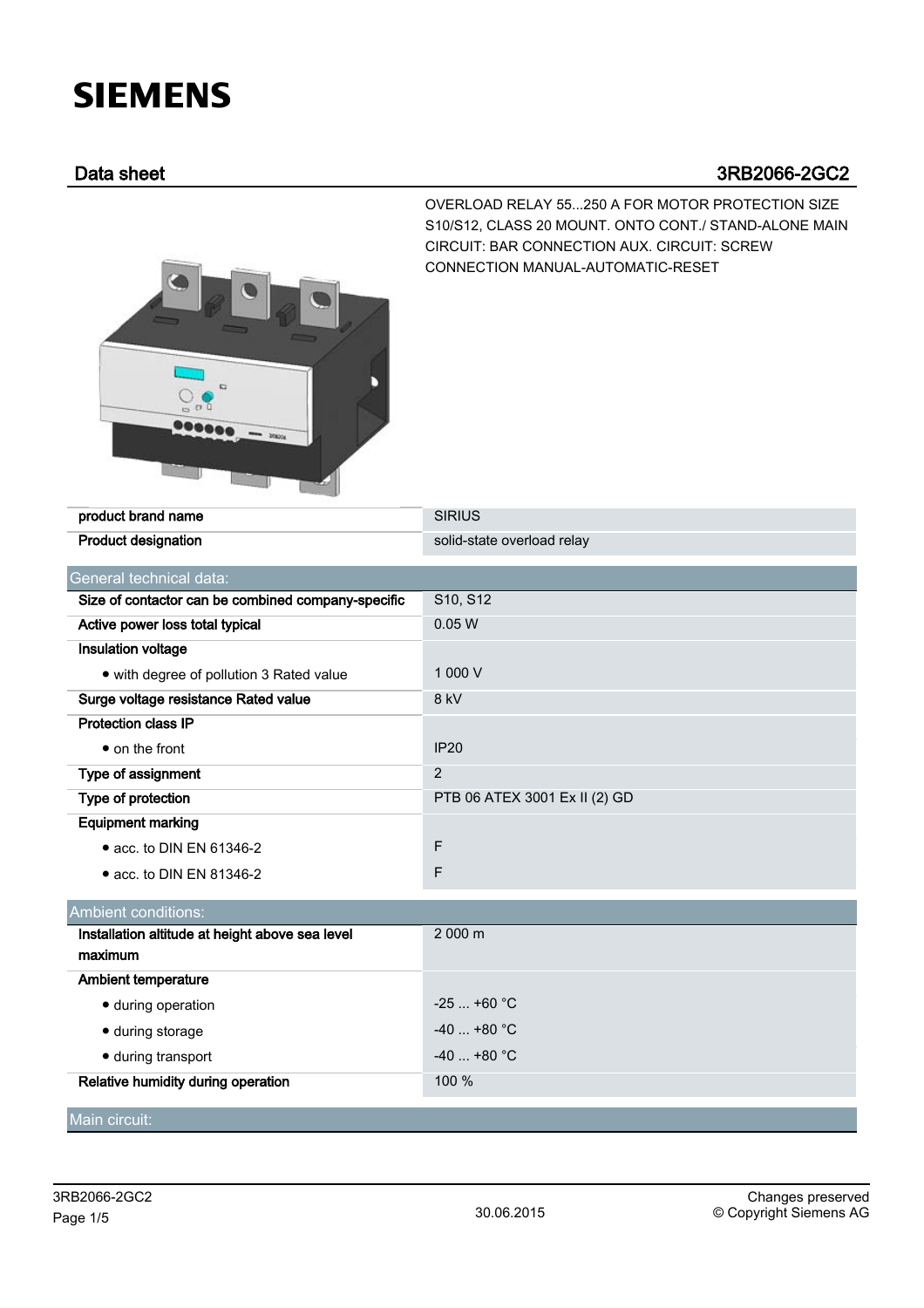## **SIEMENS**

## Data sheet 3RB2066-2GC2



OVERLOAD RELAY 55...250 A FOR MOTOR PROTECTION SIZE S10/S12, CLASS 20 MOUNT. ONTO CONT./ STAND-ALONE MAIN CIRCUIT: BAR CONNECTION AUX. CIRCUIT: SCREW CONNECTION MANUAL-AUTOMATIC-RESET

| product brand name                                 | <b>SIRIUS</b>                 |  |  |  |
|----------------------------------------------------|-------------------------------|--|--|--|
| <b>Product designation</b>                         | solid-state overload relay    |  |  |  |
| General technical data:                            |                               |  |  |  |
| Size of contactor can be combined company-specific | S10, S12                      |  |  |  |
| Active power loss total typical                    | 0.05W                         |  |  |  |
| Insulation voltage                                 |                               |  |  |  |
| • with degree of pollution 3 Rated value           | 1 000 V                       |  |  |  |
| Surge voltage resistance Rated value               | 8 kV                          |  |  |  |
| <b>Protection class IP</b>                         |                               |  |  |  |
| • on the front                                     | <b>IP20</b>                   |  |  |  |
| Type of assignment                                 | 2                             |  |  |  |
| Type of protection                                 | PTB 06 ATEX 3001 Ex II (2) GD |  |  |  |
| <b>Equipment marking</b>                           |                               |  |  |  |
| • acc. to DIN EN 61346-2                           | F                             |  |  |  |
| • acc. to DIN EN 81346-2                           | F                             |  |  |  |
| <b>Ambient conditions:</b>                         |                               |  |  |  |
| Installation altitude at height above sea level    | 2 000 m                       |  |  |  |
| maximum                                            |                               |  |  |  |
| <b>Ambient temperature</b>                         |                               |  |  |  |
| • during operation                                 | $-25$ +60 °C                  |  |  |  |
| · during storage                                   | $-40$ +80 °C                  |  |  |  |
| · during transport                                 | $-40+80$ °C                   |  |  |  |
| Relative humidity during operation                 | 100 %                         |  |  |  |
| Main circuit:                                      |                               |  |  |  |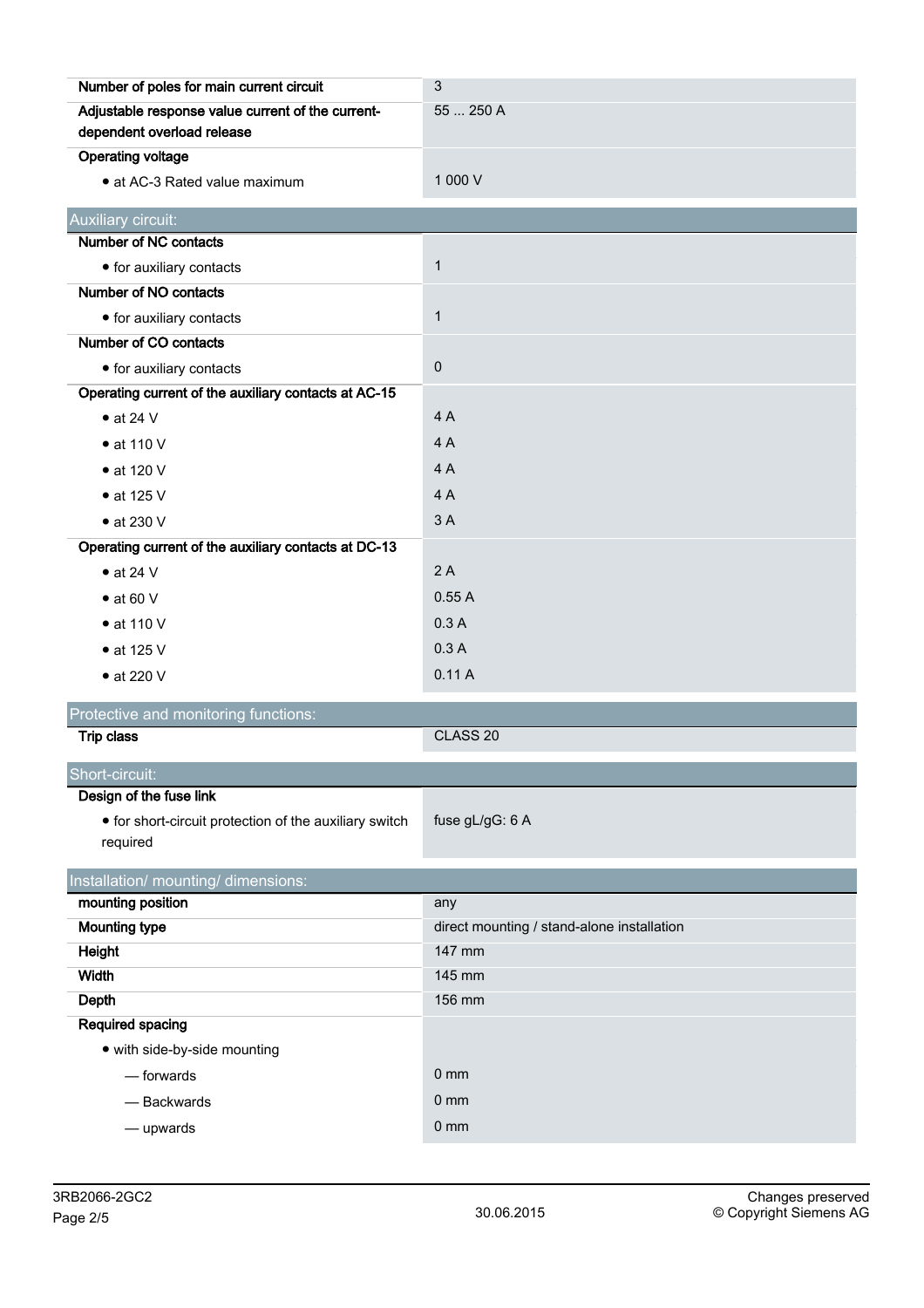| Number of poles for main current circuit               | 3                                          |  |  |
|--------------------------------------------------------|--------------------------------------------|--|--|
| Adjustable response value current of the current-      | 55  250 A                                  |  |  |
| dependent overload release                             |                                            |  |  |
| <b>Operating voltage</b>                               |                                            |  |  |
| • at AC-3 Rated value maximum                          | 1 000 V                                    |  |  |
| Auxiliary circuit:                                     |                                            |  |  |
| Number of NC contacts                                  |                                            |  |  |
| • for auxiliary contacts                               | $\mathbf{1}$                               |  |  |
| Number of NO contacts                                  |                                            |  |  |
| • for auxiliary contacts                               | $\mathbf{1}$                               |  |  |
| Number of CO contacts                                  |                                            |  |  |
| • for auxiliary contacts                               | $\pmb{0}$                                  |  |  |
| Operating current of the auxiliary contacts at AC-15   |                                            |  |  |
| $\bullet$ at 24 V                                      | 4A                                         |  |  |
| $\bullet$ at 110 V                                     | 4A                                         |  |  |
| • at 120 V                                             | 4A                                         |  |  |
| $\bullet$ at 125 V                                     | 4A                                         |  |  |
| $\bullet$ at 230 V                                     | 3A                                         |  |  |
| Operating current of the auxiliary contacts at DC-13   |                                            |  |  |
| $\bullet$ at 24 V                                      | 2A                                         |  |  |
| $\bullet$ at 60 V                                      | 0.55A                                      |  |  |
| $\bullet$ at 110 V                                     | 0.3A                                       |  |  |
| $\bullet$ at 125 V                                     | 0.3A                                       |  |  |
| • at 220 V                                             | 0.11A                                      |  |  |
| Protective and monitoring functions:                   |                                            |  |  |
| <b>Trip class</b>                                      | CLASS <sub>20</sub>                        |  |  |
| Short-circuit:                                         |                                            |  |  |
| Design of the fuse link                                |                                            |  |  |
| • for short-circuit protection of the auxiliary switch | fuse gL/gG: 6 A                            |  |  |
| required                                               |                                            |  |  |
| Installation/ mounting/ dimensions:                    |                                            |  |  |
| mounting position                                      | any                                        |  |  |
| <b>Mounting type</b>                                   | direct mounting / stand-alone installation |  |  |
| <b>Height</b>                                          | 147 mm                                     |  |  |
| <b>Width</b>                                           | 145 mm                                     |  |  |
| <b>Depth</b>                                           | 156 mm                                     |  |  |
| Required spacing                                       |                                            |  |  |
| • with side-by-side mounting                           |                                            |  |  |
| - forwards                                             | 0 <sub>mm</sub>                            |  |  |
| - Backwards                                            | $0 \text{ mm}$                             |  |  |
| - upwards                                              | $0 \text{ mm}$                             |  |  |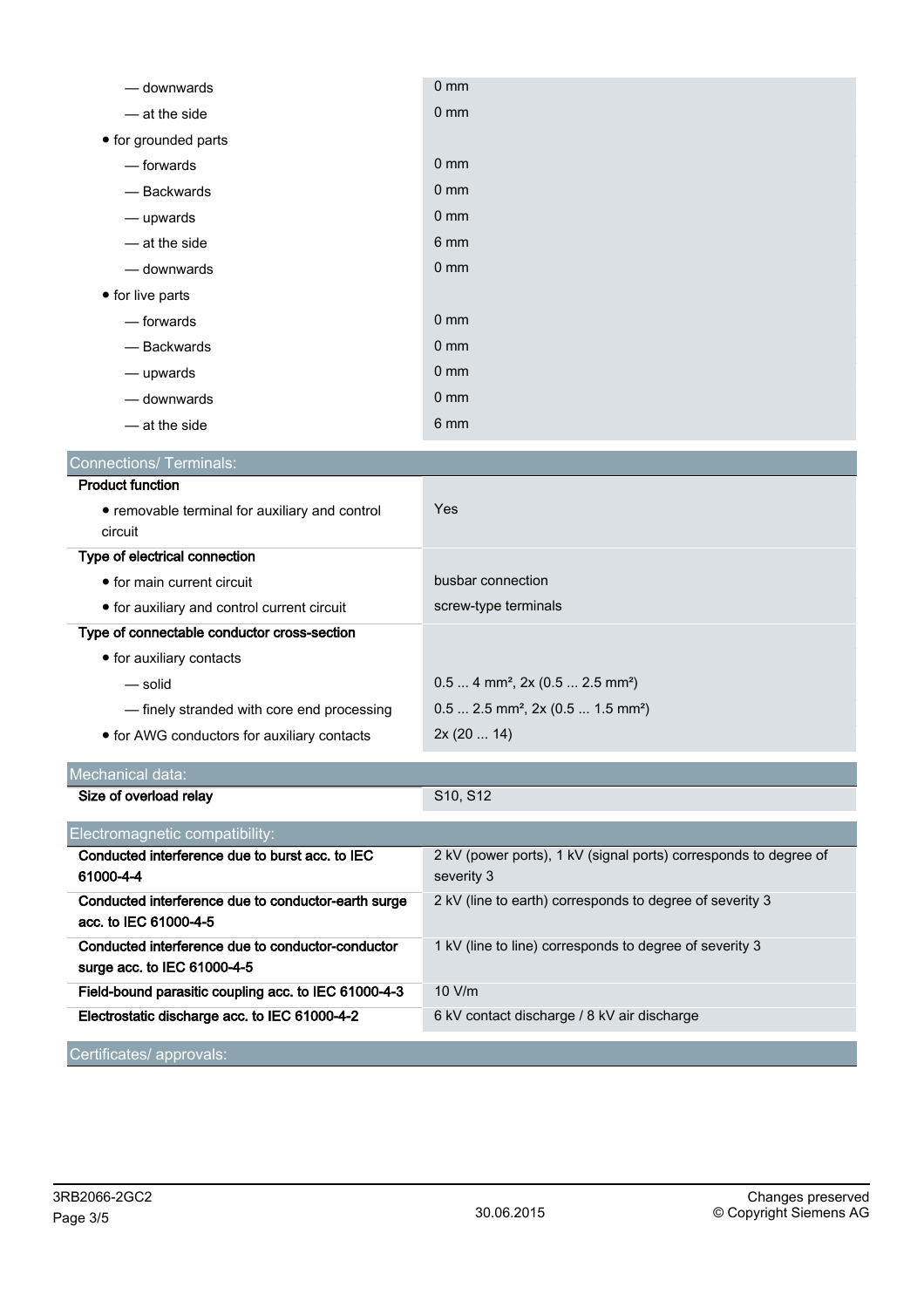| — downwards                                                                      | 0 <sub>mm</sub>                                                                |  |  |
|----------------------------------------------------------------------------------|--------------------------------------------------------------------------------|--|--|
| - at the side                                                                    | 0 <sub>mm</sub>                                                                |  |  |
| • for grounded parts                                                             |                                                                                |  |  |
| - forwards                                                                       | $0 \text{ mm}$                                                                 |  |  |
| - Backwards                                                                      | 0 <sub>mm</sub>                                                                |  |  |
| — upwards                                                                        | $0 \text{ mm}$                                                                 |  |  |
| - at the side                                                                    | 6 mm                                                                           |  |  |
| — downwards                                                                      | 0 <sub>mm</sub>                                                                |  |  |
| • for live parts                                                                 |                                                                                |  |  |
| — forwards                                                                       | 0 <sub>mm</sub>                                                                |  |  |
| - Backwards                                                                      | $0 \text{ mm}$                                                                 |  |  |
| - upwards                                                                        | 0 <sub>mm</sub>                                                                |  |  |
| - downwards                                                                      | $0 \text{ mm}$                                                                 |  |  |
| - at the side                                                                    | 6 mm                                                                           |  |  |
| <b>Connections/ Terminals:</b>                                                   |                                                                                |  |  |
| <b>Product function</b>                                                          |                                                                                |  |  |
| • removable terminal for auxiliary and control                                   | Yes                                                                            |  |  |
| circuit                                                                          |                                                                                |  |  |
| Type of electrical connection                                                    |                                                                                |  |  |
| • for main current circuit                                                       | busbar connection                                                              |  |  |
| • for auxiliary and control current circuit                                      | screw-type terminals                                                           |  |  |
| Type of connectable conductor cross-section                                      |                                                                                |  |  |
| • for auxiliary contacts                                                         |                                                                                |  |  |
| — solid                                                                          | $0.5$ 4 mm <sup>2</sup> , 2x (0.5  2.5 mm <sup>2</sup> )                       |  |  |
| - finely stranded with core end processing                                       | $0.5$ 2.5 mm <sup>2</sup> , 2x (0.5  1.5 mm <sup>2</sup> )                     |  |  |
| • for AWG conductors for auxiliary contacts                                      | 2x(2014)                                                                       |  |  |
| Mechanical data:                                                                 |                                                                                |  |  |
| Size of overload relay                                                           | S10, S12                                                                       |  |  |
| Electromagnetic compatibility:                                                   |                                                                                |  |  |
| Conducted interference due to burst acc. to IEC<br>61000-4-4                     | 2 kV (power ports), 1 kV (signal ports) corresponds to degree of<br>severity 3 |  |  |
| Conducted interference due to conductor-earth surge<br>acc. to IEC 61000-4-5     | 2 kV (line to earth) corresponds to degree of severity 3                       |  |  |
| Conducted interference due to conductor-conductor<br>surge acc. to IEC 61000-4-5 | 1 kV (line to line) corresponds to degree of severity 3                        |  |  |
| Field-bound parasitic coupling acc. to IEC 61000-4-3                             | 10 V/m                                                                         |  |  |
| Electrostatic discharge acc. to IEC 61000-4-2                                    | 6 kV contact discharge / 8 kV air discharge                                    |  |  |
| Certificates/ approvals:                                                         |                                                                                |  |  |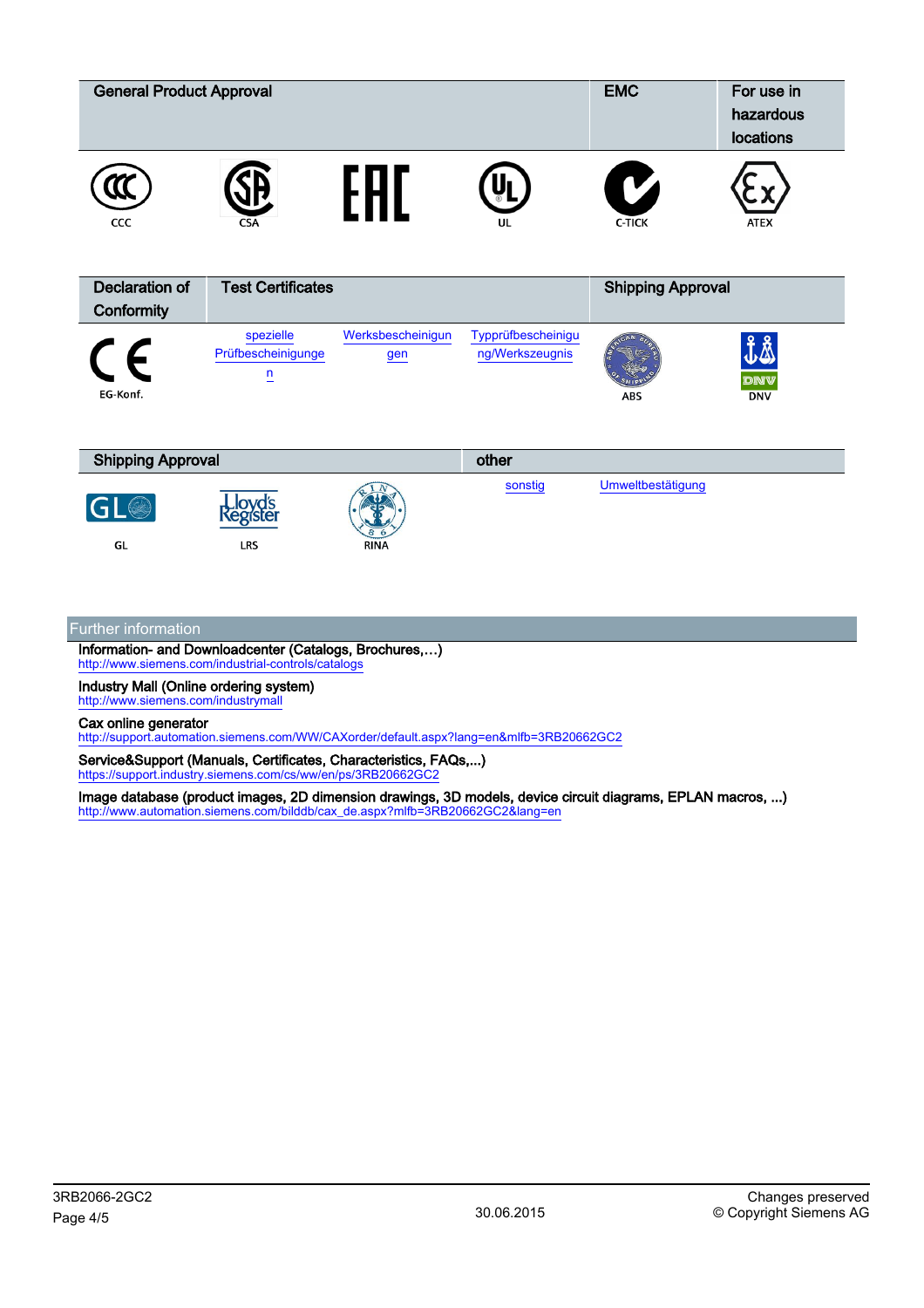| <b>General Product Approval</b>     |                                                   |                          |                                       | <b>EMC</b>               | For use in<br>hazardous<br>locations  |
|-------------------------------------|---------------------------------------------------|--------------------------|---------------------------------------|--------------------------|---------------------------------------|
| CCC                                 |                                                   | H <sub>1</sub>           | UL                                    | $\mathbf{C}$<br>C-TICK   | <b>ATEX</b>                           |
| <b>Declaration of</b><br>Conformity | <b>Test Certificates</b>                          |                          |                                       | <b>Shipping Approval</b> |                                       |
| F<br>EG-Konf.                       | spezielle<br>Prüfbescheinigunge<br>$\overline{u}$ | Werksbescheinigun<br>gen | Typprüfbescheinigu<br>ng/Werkszeugnis | ABS                      | <b>JA</b><br><b>DNV</b><br><b>DNV</b> |
| <b>Shipping Approval</b>            |                                                   | other                    |                                       |                          |                                       |
| G<br>GL                             | Lloyd's<br>Register<br>LRS                        | <b>RINA</b>              | sonstig                               | Umweltbestätigung        |                                       |

## Further information

Information- and Downloadcenter (Catalogs, Brochures,…) <http://www.siemens.com/industrial-controls/catalogs>

Industry Mall (Online ordering system) <http://www.siemens.com/industrymall>

Cax online generator

<http://support.automation.siemens.com/WW/CAXorder/default.aspx?lang=en&mlfb=3RB20662GC2>

Service&Support (Manuals, Certificates, Characteristics, FAQs,...) <https://support.industry.siemens.com/cs/ww/en/ps/3RB20662GC2>

Image database (product images, 2D dimension drawings, 3D models, device circuit diagrams, EPLAN macros, ...) [http://www.automation.siemens.com/bilddb/cax\\_de.aspx?mlfb=3RB20662GC2&lang=en](http://www.automation.siemens.com/bilddb/cax_de.aspx?mlfb=3RB20662GC2&lang=en)